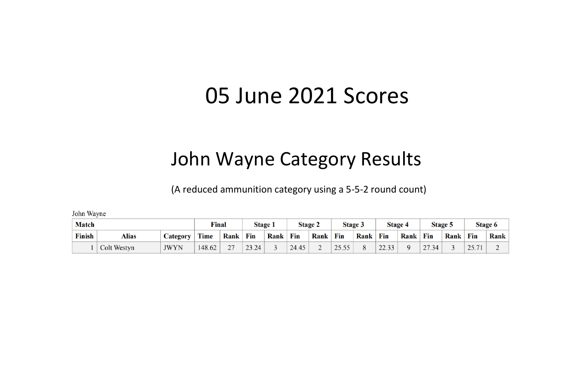# 05 June 2021 Scores

## John Wayne Category Results

(A reduced ammunition category using a 5-5-2 round count)

John Wayne

| <b>Match</b> |                    |                 | Final  |               |       | <b>Stage 1</b> |       | <b>Stage 2</b> |       | Stage 3 |       | <b>Stage 4</b> |       | Stage 5 |     | Stage 6 |
|--------------|--------------------|-----------------|--------|---------------|-------|----------------|-------|----------------|-------|---------|-------|----------------|-------|---------|-----|---------|
| Finish       | Alias              | <b>Category</b> | Time   | <b>Rank</b>   | Fin   | Rank           | Fin   | Rank           | Fin   | Rank    | Fin   | Rank           | Fin   | Rank    | Fin | Rank    |
|              | <b>Colt Westyn</b> | <b>JWYN</b>     | 148.62 | $\mathcal{L}$ | 23.24 |                | 24.45 | ∸              | 25.55 |         | 22.33 |                | 27.34 |         |     |         |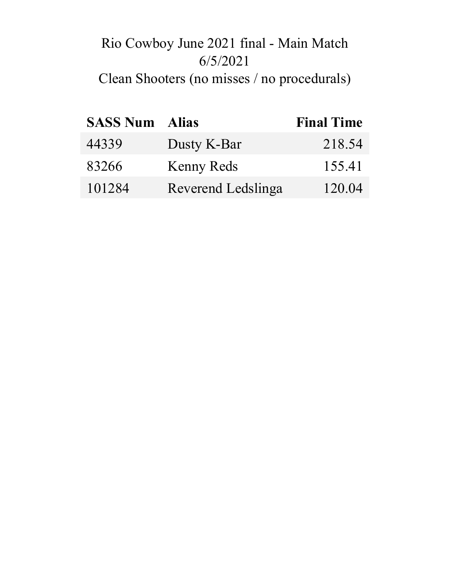## Rio Cowboy June 2021 final - Main Match 6/5/2021 Clean Shooters (no misses / no procedurals)

| <b>SASS Num Alias</b> |                    | <b>Final Time</b> |
|-----------------------|--------------------|-------------------|
| 44339                 | Dusty K-Bar        | 218.54            |
| 83266                 | Kenny Reds         | 155.41            |
| 101284                | Reverend Ledslinga | 120.04            |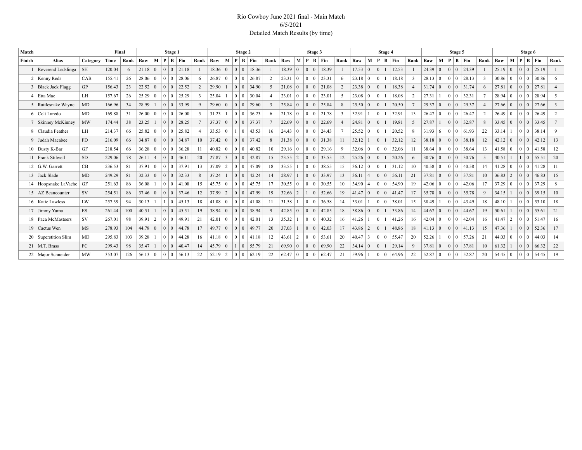#### Rio Cowboy June 2021 final - Main Match 6/5/2021 Detailed Match Results (by time)

| Match          |                             |           | Final  |      |       |                |                                        | Stage 1                   |       |                |                |                 |                | Stage 2        |       |               |                |                 |                | Stage 3        |                       |                |                |                 | Stage 4                          |           |                         |                |                |                 | Stage 5       |                       |                |       |                |                 | Stage 6 |       |      |
|----------------|-----------------------------|-----------|--------|------|-------|----------------|----------------------------------------|---------------------------|-------|----------------|----------------|-----------------|----------------|----------------|-------|---------------|----------------|-----------------|----------------|----------------|-----------------------|----------------|----------------|-----------------|----------------------------------|-----------|-------------------------|----------------|----------------|-----------------|---------------|-----------------------|----------------|-------|----------------|-----------------|---------|-------|------|
| Finish         | <b>Alias</b>                | Category  | Time   | Rank | Raw   | M <sub>1</sub> | P                                      | $\vert$ B $\vert$ Fin     |       | Rank Raw       |                | M               | P              | $\mathbf{B}$   | Fin   | Rank          | Raw            | М               | $\mathbf P$    |                | BEin                  | <b>Rank</b>    | Raw            | M               | P                                | $B$   Fin | Rank                    | Raw            | M              |                 | $P$   B   Fin |                       | Rank   Raw     |       | M              | P B             | Fin     |       | Rank |
|                | Reverend Ledslinga          | <b>SH</b> | 120.04 | 6    | 21.18 | $\overline{0}$ | $\vert 0 \vert 0 \vert$                |                           | 21.18 |                | 18.36 0        |                 | $\Omega$       | $\mathbf{0}$   | 18.36 |               | $18.39 \mid 0$ |                 | $\overline{0}$ | $\overline{0}$ | 18.39                 |                | $17.53 \mid 0$ |                 | $\Omega$                         | 12.53     |                         | 24.39          | $\overline{0}$ |                 |               | 0 0 24.39             |                | 25.19 | $\overline{0}$ | 0 <sup>1</sup>  |         | 25.19 |      |
| 2 <sup>1</sup> | Kenny Reds                  | CAB       | 155.41 | 26   | 28.06 | $\mathbf{0}$   | 0 <sup>1</sup>                         |                           | 28.06 | 6              | $26.87$ 0      |                 | $\Omega$       | $\overline{0}$ | 26.87 |               | $23.31 \mid 0$ |                 | $\Omega$       | $\overline{0}$ | 23.31                 | -6             | $23.18 \mid 0$ |                 |                                  | 18.18     | $\overline{\mathbf{3}}$ | 28.13          | $\overline{0}$ | 0 <sup>10</sup> |               | 28.13                 |                | 30.86 | $\Omega$       | 0 <sup>10</sup> |         | 30.86 |      |
|                | 3 Black Jack Flagg          | GP        | 156.43 | 23   | 22.52 | $\Omega$       | 0 <sup>1</sup>                         |                           | 22.52 | $\overline{2}$ | 29.90          |                 |                | 0 <sup>1</sup> | 34.90 | -5            | 21.08          | $\overline{0}$  | $\Omega$       |                | 0 21.08               | 2              | $23.38 \mid 0$ |                 | $\Omega$                         | 18.38     | $\overline{4}$          | 31.74          | $\Omega$       | 0 <sup>10</sup> |               | 31.74                 | 6              | 27.81 | $\Omega$       | $0\mid 0$       |         | 27.81 |      |
|                | $4$ Etta Mae                | LH        | 157.67 | 26   | 25.29 | $\Omega$       | 0 <sup>10</sup>                        |                           | 25.29 | 3              | 25.04          |                 | 0 <sup>1</sup> |                | 30.04 |               | 23.01          | $+0$            | $\Omega$       | l O            | 23.01                 | -5             | $23.08 \mid 0$ |                 |                                  | 18.08     | 2                       | 27.31          |                | 0 <sup>10</sup> |               | 32.31                 |                | 28.94 | $\Omega$       | 0 <sup>1</sup>  |         | 28.94 |      |
|                | 5 Rattlesnake Wayne         | MD        | 166.96 | 34   | 28.99 |                | 0 <sup>0</sup>                         |                           | 33.99 | 9              | 29.60          | $\overline{0}$  | $\Omega$       | $\overline{0}$ | 29.60 | $\mathcal{R}$ | 25.84          | $\Omega$        | $\Omega$       | $\overline{0}$ | 25.84                 | 8              | 25.50 0        |                 | $\Omega$                         | 20.50     | $\tau$                  | 29.37          | $\Omega$       | 0 <sup>10</sup> |               | 29.37                 |                | 27.66 | $\Omega$       | $0\mid 0$       |         | 27.66 |      |
|                | 6 Colt Laredo               | <b>MD</b> | 169.88 | 31   | 26.00 | $\theta$       | 0 0                                    |                           | 26.00 | $5 -$          | 31.23          |                 |                | $01$ 0         | 36.23 |               | $21.78$ 0      |                 |                |                | $0 \mid 0 \mid 21.78$ | 3              | 32.91          |                 | 0                                | 32.91     | 13                      | $26.47$ 0      |                | 0 0             |               | 26.47                 | $\overline{2}$ | 26.49 | $\overline{0}$ | 0 <sup>10</sup> |         | 26.49 |      |
|                | <b>Skinney McKinney</b>     | <b>MW</b> | 174.44 | 38   | 23.25 |                | 0 <sup>1</sup>                         |                           | 28.25 | $\tau$         | 37.37 0        |                 | $\overline{0}$ | $\overline{0}$ | 37.37 |               | 22.69          | $\overline{0}$  | $\Omega$       | $\overline{0}$ | 22.69                 | $\overline{A}$ | 24.81          | $\overline{0}$  | $\Omega$                         | 19.81     | .5                      | 27.87          | $\overline{1}$ |                 |               | 32.87                 | 8              | 33.45 | $\Omega$       | $0\mid 0$       |         | 33.45 |      |
|                | 8 Claudia Feather           | LH        | 214.37 | 66   | 25.82 | $\overline{0}$ | 0 <sup>1</sup>                         |                           | 25.82 |                | $33.53 \mid 0$ |                 |                | 0              | 43.53 | 16            | $24.43 \mid 0$ |                 |                |                | $0 \mid 0 \mid 24.43$ |                | 25.52 0        |                 | $\Omega$                         | 20.52     | 8                       | $31.93 \mid 6$ |                |                 | 001           | 61.93                 | 22             | 33.14 |                | $0 \mid 0$      |         | 38.14 |      |
|                | 9 Judah Macabee             | FD.       | 216.09 | 66   | 34.87 | $\overline{0}$ | $\theta$                               | $\vert 0 \vert$           | 34.87 | 10             | $37.42 \mid 0$ |                 | $\Omega$       | $\overline{0}$ | 37.42 | 8             | $31.38$ 0      |                 | $\Omega$       |                | 0 31.38               | 11             | 32.12          |                 | $\Omega$                         | 32.12     | 12                      | 38.18          | $\overline{0}$ |                 |               | 38.18                 | 12             | 42.12 | $\Omega$       | $0 \mid 0$      |         | 42.12 | 13   |
|                | $10$ Dusty K-Bar            | GF        | 218.54 | 66   | 36.28 | $\mathbf{0}$   | 0 <sup>1</sup>                         |                           | 36.28 | 11             | $40.82$ 0      |                 | 0              | $\theta$       | 40.82 | 10            | 2916 0         |                 |                |                | $0 \mid 0 \mid 29.16$ | -9             | $32.06 \mid 0$ |                 | $\overline{0}$<br>$\Omega$       | 32.06     | 11                      | 38.64          | $\overline{0}$ | 0 <sup>1</sup>  |               | 38.64                 | 13             | 41.58 | $\Omega$       | 0 <sup>1</sup>  |         | 41.58 | 12   |
|                | 11 Frank Stilwell           | <b>SD</b> | 229.06 | 78   | 26.11 | $\overline{4}$ | $\theta$                               | $\cdot$   0 $\rightarrow$ | 46.11 | 20             | 27.87          | $\overline{3}$  | $\Omega$       | $\mathbf{0}$   | 42.87 | 15            | 23.55          | $\vert 2 \vert$ |                | 0 <sup>1</sup> | 33.55                 | 12             | 25.26          | $\overline{0}$  | $\Omega$                         | 20.26     | 6                       | 30.76          | $\overline{0}$ | 0 <sup>10</sup> |               | 30.76                 | .5             | 40.51 |                | $1 \mid 0$      |         | 55.51 | 20   |
|                | $12$ G.W. Garrett           | CB        | 236.53 | 81   | 37.91 | $\mathbf{0}$   | $\Omega$                               | $\cdot$   0 $\pm$         | 37.91 | 13             | 37.09          | $\overline{2}$  |                | $0 \mid 0$     | 47.09 | 18            | 33.55          |                 |                | 0 <sup>1</sup> | 38.55                 | 15             | $36.12 \mid 0$ |                 | $\Omega$                         | 31.12     | 10                      | 40.58          | $\overline{0}$ | 0 <sup>10</sup> |               | 40.58                 | 14             | 41.28 | $\theta$       | $0 \mid 0$      |         | 41.28 | 11   |
|                | 13 Jack Slade               | MD        | 249.29 | 81   | 32.33 | $\overline{0}$ | $\begin{array}{c c} 0 & 0 \end{array}$ |                           | 32.33 | 8              | 37.24          |                 |                | $0 \mid 0$     | 42.24 | 14            | 28.97          |                 |                | 0 <sup>1</sup> | 33.97                 | 13             | 36.11          | $\vert 4$       | $\overline{0}$<br>$\overline{0}$ | 56.11     | 21                      | 37.81          | $^+$ 0         |                 |               | $0 \mid 0$ 37.81      | 10             | 36.83 | $\sqrt{2}$     | $0 \mid 0$      |         | 46.83 | 15   |
|                | 14   Hoopsnake LaVache   GF |           | 251.63 | 86   | 36.08 | $\mathbf{1}$   | 0 0                                    |                           | 41.08 | 15             | $45.75 \mid 0$ |                 |                | $0 \mid 0$     | 45.75 | 17            | $30.55 \mid 0$ |                 |                | 0 <sup>1</sup> | 30.55                 | 10             | 34.90          | $\vert 4 \vert$ | $\Omega$<br>$+0$ .               | 54.90     | 19                      | $42.06 \pm 0$  |                | 0 <sup>10</sup> |               | 42.06                 | 17             | 37.29 | $\theta$       | 0 <sup>10</sup> |         | 37.29 |      |
|                | 15   AZ Beancounter         | <b>SV</b> | 254.51 | 86   | 37.46 | $^{\circ}$ 0   |                                        |                           | 37.46 | 12             | 37.99          | $\vert 2 \vert$ |                | $0 \mid 0$     | 47.99 | 19            | $32.66$   2    |                 |                | $1\vert 0$     | 52.66                 | 19             | $41.47$ 0      |                 | $+0$ +<br>$\Omega$               | 41.47     | 17                      | $35.78 \mid 0$ |                |                 |               | 0 0 35.78             | 9              | 34.15 |                | $0\mid 0$       |         | 39.15 | 10   |
|                | 16   Katie Lawless          | LW        | 257.39 | 94   | 30.13 |                |                                        | $+0$                      | 45.13 | 18             | $41.08$ 0      |                 |                | 0 <sup>1</sup> | 41.08 |               | 31.58          |                 |                | 0 <sup>1</sup> | 36.58                 | 14             | 33.01          |                 | $\mathbf{0}$<br>$\Omega$         | 38.01     | 15                      | 38.49          |                | 0 <sup>1</sup>  |               | 43.49                 | 18             | 48.10 |                | 0 <sup>1</sup>  |         | 53.10 | 18   |
|                | 17 Jimmy Yuma               | ES.       | 261.44 | 100  | 40.51 |                | $\begin{array}{c c} 0 & 0 \end{array}$ |                           | 45.51 | 19             | $38.94 \mid 0$ |                 |                | $0 \mid 0$     | 38.94 | $\mathbf{Q}$  | $42.85 \mid 0$ |                 |                | 0 <sup>1</sup> | 42.85                 | 18             | $38.86 \mid 0$ |                 | $\Omega$                         | 33.86     | 14                      | $44.67$ 0      |                |                 |               | $0 \mid 0 \mid 44.67$ | 19             | 50.61 |                | $0 \mid 0$      |         | 55.61 | 21   |
|                | 18   Paca McMasteers        | <b>SV</b> | 267.01 | 98   | 39.91 | 2              | 0 <sup>1</sup>                         |                           | 49.91 | 21             | 42.01          | $\overline{0}$  | 0              | $\Omega$       | 42.01 | 13            | 35.32          |                 |                | $01$ 0         | 40.32                 | 16             | 41.26          |                 | 0                                | 41.26     | 16                      | 42.04          | $\overline{0}$ | 0 <sup>10</sup> |               | 42.04                 | 16             | 41.47 | $\overline{2}$ | 0 <sup>1</sup>  |         | 51.47 | 16   |
|                | 19   Cactus Wen             | <b>MS</b> | 278.93 | 104  | 44.78 | $\overline{0}$ |                                        |                           | 44.78 | 17             | 49.77 0        |                 | $\Omega$       | $\overline{0}$ | 49.77 | 20            | 37.03          |                 |                | $01$ 0         | 42.03                 | 17             | 43.86          | $\vert$ 2       | $\Omega$                         | 48.86     | 18                      | 41.13          | $\overline{0}$ |                 |               | 41.13                 | 15             | 47.36 |                | $0 \mid 0$      |         | 52.36 | 17   |
|                | 20   Superstition Slim      | MD        | 295.83 | 103  | 39.28 |                | 0 <sup>1</sup>                         |                           | 44.28 | 16             | $41.18$ 0      |                 | 0              | $\overline{0}$ | 41.18 | 12            | 43.61          | $\frac{1}{2}$   | $\Omega$       | $\perp$ 0      | 53.61                 | 20             | 40.47          | $\vert$ 3       | $\overline{0}$<br>$\Omega$       | 55.47     | 20                      | 52.26          |                | 0 <sup>10</sup> |               | 57.26                 | 21             | 44.03 | $^{\circ}$     | 0 <sup>1</sup>  |         | 44.03 | 14   |
|                | $21$   M.T. Brass           | FC.       | 299.43 | 98   | 35.47 | $\mathbf{1}$   |                                        |                           | 40.47 | 14             | $45.79$ 0      |                 |                | $1 \mid 0$     | 55.79 | 21            | $69.90 \mid 0$ |                 |                | $01$ 0         | 69.90                 | 22             | $34.14 \mid 0$ |                 | $\Omega$<br>$\mathbf{1}$         | 29.14     | 9                       | 37.81          | $\overline{0}$ |                 |               | $0 \mid 0$ 37.81      | 10             | 61.32 |                | $0 \mid 0$      |         | 66.32 | 22   |
|                | 22   Major Schneider        | <b>MW</b> | 353.07 | 126  | 56.13 | $\overline{0}$ | 001                                    |                           | 56.13 | 22             | 52.19          | $\vert 2 \vert$ |                | 0 <sup>1</sup> | 62.19 | 22            | $62.47 \mid 0$ |                 |                | 0 <sup>1</sup> | 62.47                 | 21             | 59.96          |                 | $\Omega$<br>$\overline{0}$       | 64.96     | 22                      | 52.87          | $\overline{0}$ |                 | 0 0           | 52.87                 | 20             | 54.45 | $\overline{0}$ | 0 <sup>1</sup>  |         | 54.45 | 19   |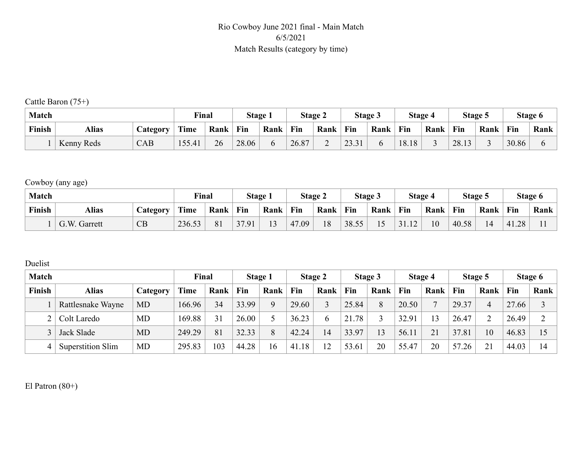#### Rio Cowboy June 2021 final - Main Match 6/5/2021 Match Results (category by time)

Cattle Baron (75+)

| <b>Match</b> |              |                 | Final  |      | Stage 1 |      |       | Stage 2 |       | Stage 3 |       | Stage 4 | Stage 5 |      |       | Stage 6 |
|--------------|--------------|-----------------|--------|------|---------|------|-------|---------|-------|---------|-------|---------|---------|------|-------|---------|
| Finish       | <b>Alias</b> | <b>Category</b> | Time   | Rank | Fin     | Rank | Fin   | Rank    | Fin   | Rank    | Fin   | Rank    | Fin     | Rank | Fin   | Rank    |
|              | Kenny Reds   | CAB             | 155.41 | 26   | 28.06   |      | 26.87 | ∽       | 23.31 |         | 18.18 |         | 28.13   |      | 30.86 |         |

Cowboy (any age)

| <b>Match</b> |              |          | Final  |      | <b>Stage 1</b> |                | Stage 2 |      |       | Stage 3 |       | Stage 4 |       | Stage 5 |       | Stage 6 |
|--------------|--------------|----------|--------|------|----------------|----------------|---------|------|-------|---------|-------|---------|-------|---------|-------|---------|
| Finish       | <b>Alias</b> | Category | Time   | Rank | Fin            | Rank           | Fin     | Rank | Fin   | Rank    | Fin   | Rank    | Fin   | Rank    | Fin   | Rank    |
|              | G.W. Garrett | CB       | 236.53 | 81   | 37.91          | 1 <sub>2</sub> | 47.09   | 18   | 38.55 |         | 31.12 | 10      | 40.58 | 14      | 41.28 |         |

Duelist

| <b>Match</b> |                   |           | Final       |      |       | Stage 1 |       | Stage 2 |       | Stage 3 |       | Stage 4      |           | Stage 5        |       | Stage 6                  |
|--------------|-------------------|-----------|-------------|------|-------|---------|-------|---------|-------|---------|-------|--------------|-----------|----------------|-------|--------------------------|
| Finish       | <b>Alias</b>      | Category  | <b>Time</b> | Rank | Fin   | Rank    | Fin   | Rank    | Fin   | Rank    | Fin   | Rank         | Fin       | Rank           | Fin   | Rank                     |
|              | Rattlesnake Wayne | <b>MD</b> | 166.96      | 34   | 33.99 |         | 29.60 |         | 25.84 | 8       | 20.50 | $\mathbf{r}$ | 29.37     | $\overline{4}$ | 27.66 |                          |
|              | Colt Laredo       | <b>MD</b> | 169.88      | 31   | 26.00 |         | 36.23 | b       | 21.78 |         | 32.91 | 13           | 26.47     |                | 26.49 |                          |
|              | Jack Slade        | <b>MD</b> | 249.29      | 81   | 32.33 |         | 42.24 | 14      | 33.97 | 13      | 56.11 | 21           | 37.81     | 10             | 46.83 | $\overline{\phantom{0}}$ |
| 4            | Superstition Slim | <b>MD</b> | 295.83      | 103  | 44.28 | 16      | 41.18 |         | 53.61 | 20      | 55.47 | 20           | 57<br>.26 | 21             | 44.03 | $\overline{4}$           |

El Patron (80+)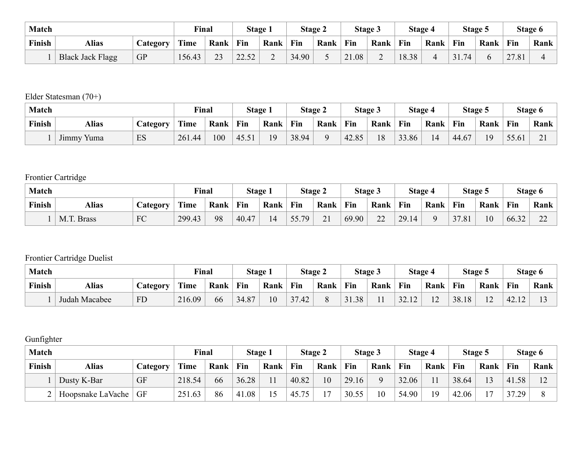| <b>Match</b> |                         |           | Final  |      |       | Stage 1 |       | Stage 2 |       | Stage 3                            |       | Stage 4 |     | Stage 5 |       | Stage 6 |
|--------------|-------------------------|-----------|--------|------|-------|---------|-------|---------|-------|------------------------------------|-------|---------|-----|---------|-------|---------|
| Finish       | <b>Alias</b>            | Category  |        | Rank | Fin   | Rank    | Fin   | Rank    | Fin   | Rank                               | Fin   | Rank    | Fin | Rank    | Fin   | Rank    |
|              | <b>Black Jack Flagg</b> | <b>GP</b> | 156.43 | 23   | 22.52 |         | 34.90 |         | 21.08 | $\sim$<br>$\overline{\phantom{0}}$ | 18.38 | ↵       | 74  |         | 27.81 |         |

Elder Statesman (70+)

| <b>Match</b> |                      |                  | Final  |      |       | Stage 1 |       | Stage 2 |       | Stage 3 |       | Stage 4 |       | Stage 5 |       | Stage 6                              |
|--------------|----------------------|------------------|--------|------|-------|---------|-------|---------|-------|---------|-------|---------|-------|---------|-------|--------------------------------------|
| Finish       | <b>Alias</b>         | $\angle$ ategory | Time   | Rank | Fin   | Rank    | Fin   | Rank    | Fin   | Rank    | Fin   | Rank    | Fin   | Rank    | Fin   | Rank                                 |
|              | $-$<br>Yuma<br>Jimmy | ES               | 261.44 | 100  | 45.51 | 19      | 38.94 |         | 42.85 | 18      | 33.86 | 14      | 44.67 | 19      | 55.61 | $\sim$ 1<br>$\overline{\phantom{0}}$ |

### Frontier Cartridge

| <b>Match</b> |                      |                 | Final  |      | Stage 1 |      |       | <b>Stage 2</b> |       | Stage 3       |       | Stage 4 |       | Stage 5 |       | Stage 6     |
|--------------|----------------------|-----------------|--------|------|---------|------|-------|----------------|-------|---------------|-------|---------|-------|---------|-------|-------------|
| Finish       | <b>Alias</b>         | <b>Lategory</b> | Time   | Rank | Fin     | Rank | Fin   | Rank           | Fin   | Rank          | Fin   | Rank    | Fin   | Rank    | Fin   | Rank        |
|              | M.T.<br><b>Brass</b> | FC              | 299.43 | 98   | 40.47   |      | 55.79 | 21             | 69.90 | $\mathcal{D}$ | 29.14 |         | 37.81 | 10      | 66.32 | $\sim$<br>∼ |

### Frontier Cartridge Duelist

| <b>Match</b> |               |                       | <b>Final</b> |      |       | Stage 1 |                 | Stage 2 |       | <b>Stage 3</b> |            | Stage 4                  | Stage 5 |                          |                   | Stage 6 |
|--------------|---------------|-----------------------|--------------|------|-------|---------|-----------------|---------|-------|----------------|------------|--------------------------|---------|--------------------------|-------------------|---------|
| Finish       | <b>Alias</b>  | $\mathcal{L}$ ategory | Time         | Rank | Fin   | Rank    | Fin             | Rank    | Fin   | Rank           | <b>Fin</b> | Rank                     | Fin     | Rank                     | Fin               | Rank    |
|              | Judah Macabee | <b>FD</b>             | 216.09       | 66   | 34.87 | 10      | $\gamma$<br>.42 |         | 31.38 | 11             | 32.12      | $\sim$<br>$\overline{z}$ | 38.18   | $\sim$<br>$\overline{1}$ | $\frac{1}{42.12}$ |         |

### Gunfighter

| <b>Match</b> |                   |           | Final  |      |       | Stage 1 |           | Stage 2 |       | Stage 3 |       | Stage 4 |       | Stage 5                  |       | Stage 6      |
|--------------|-------------------|-----------|--------|------|-------|---------|-----------|---------|-------|---------|-------|---------|-------|--------------------------|-------|--------------|
| Finish       | <b>Alias</b>      | Category  | Time   | Rank | Fin   | Rank    | Fin       | Rank    | Fin   | Rank    | Fin   | Rank    | Fin   | Rank                     | Fin   | Rank         |
|              | Dusty K-Bar       | <b>GF</b> | 218.54 | 66   | 36.28 |         | 40.82     | 10      | 29.16 |         | 32.06 |         | 38.64 | 13                       | 41.58 | $1^{\wedge}$ |
|              | Hoopsnake LaVache | GF        | 251.63 | 86   | 41.08 |         | 45.<br>75 | ר ו     | 30.55 | 10      | 54.90 | 19      | 42.06 | $\overline{\phantom{0}}$ | 37.29 |              |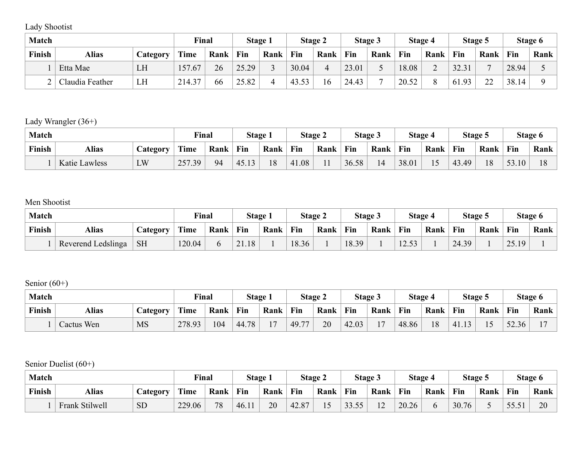Lady Shootist

| <b>Match</b> |                 |          | Final       |      |       | Stage 1 |       | Stage 2 |       | Stage 3 |       | Stage 4 |       | Stage 5 |       | Stage 6 |
|--------------|-----------------|----------|-------------|------|-------|---------|-------|---------|-------|---------|-------|---------|-------|---------|-------|---------|
| Finish       | <b>Alias</b>    | Category | <b>Time</b> | Rank | Fin   | Rank    | Fin   | Rank    | Fin   | Rank    | Fin   | Rank    | Fin   | Rank    | Fin   | Rank    |
|              | Etta Mae        | LH       | 157.67      | 26   | 25.29 |         | 30.04 | 4       | 23.01 |         | 18.08 | ⌒<br>∼  | 32.31 | −       | 28.94 |         |
|              | Claudia Feather | LH       | 214.37      | 66   | 25.82 |         | 43.53 | 16      | 24.43 |         | 20.52 |         | 61.93 | າາ      | 38.14 |         |

Lady Wrangler (36+)

| <b>Match</b> |                      |          | Final  |      | Stage 1 |      | Stage 2 |      | Stage 3 |      | Stage 4 |      | Stage 5      |      | Stage 6                 |      |
|--------------|----------------------|----------|--------|------|---------|------|---------|------|---------|------|---------|------|--------------|------|-------------------------|------|
| Finish       | <b>Alias</b>         | Category | Time   | Rank | Fin     | Rank | Fin     | Rank | Fin     | Rank | Fin     | Rank | Fin          | Rank | Fin                     | Rank |
|              | <b>Katie Lawless</b> | LW       | 257.39 | 94   | 145.1   | 18   | 41.08   |      | 36.58   | 14   | 38.01   | 15   | 43<br>.3.49' | 18   | 53.<br>.10 <sub>1</sub> | 1 O  |

Men Shootist

| <b>Match</b> |                    |                  | Final  |      | Stage 1 |      | <b>Stage 2</b> |      | Stage 3 |      | Stage 4 |      | Stage 5 |      | Stage 6              |      |
|--------------|--------------------|------------------|--------|------|---------|------|----------------|------|---------|------|---------|------|---------|------|----------------------|------|
| Finish       | <b>Alias</b>       | $\angle$ ategory | Time   | Rank | Fin     | Rank | Fin            | Rank | Fin     | Rank | Fin     | Rank | Fin     | Rank | Fin                  | Rank |
|              | Reverend Ledslinga | <b>SH</b>        | 120.04 | O    | 21.18   |      | 18.36          |      | 18.39   |      | 12.53   |      | 24.39   |      | 2519<br>$\angle$ .13 |      |

Senior (60+)

| <b>Match</b> |                   |           | Final  |      | Stage 1 |                          | Stage 2 |      | <b>Stage 3</b> |                | Stage 4    |      | Stage 5 |                          | Stage 6 |      |
|--------------|-------------------|-----------|--------|------|---------|--------------------------|---------|------|----------------|----------------|------------|------|---------|--------------------------|---------|------|
| Finish       | <b>Alias</b>      | Category  | Time   | Rank | Fin     | Rank                     | Fin     | Rank | Fin            | Rank           | <b>Fin</b> | Rank | Fin     | Rank                     | Fin     | Rank |
|              | <b>Cactus Wen</b> | <b>MS</b> | 278.93 | 104  | 44.78   | $\overline{\phantom{0}}$ | 149.77  | 20   | 42.03          | $\blacksquare$ | 48.86      | 18   | 41.13   | $\overline{\phantom{0}}$ | 52.36   |      |

Senior Duelist (60+)

| <b>Match</b> |                |                 | Final  |      | Stage 1 |      | Stage 2 |      | Stage 3 |                | Stage 4 |      | Stage 5 |      | Stage 6       |      |
|--------------|----------------|-----------------|--------|------|---------|------|---------|------|---------|----------------|---------|------|---------|------|---------------|------|
| Finish       | Alias          | <b>Category</b> | Time   | Rank | Fin     | Rank | Fin     | Rank | Fin     | Rank           | Fin     | Rank | Fin     | Rank | Fin           | Rank |
|              | Frank Stilwell | <b>SD</b>       | 229.06 | 78   | 46.11   | 20   | 42.87   |      | 33.55   | 1 <sub>0</sub> | 20.26   |      | 30.76   |      | 55.51<br>JJ.J | 20   |